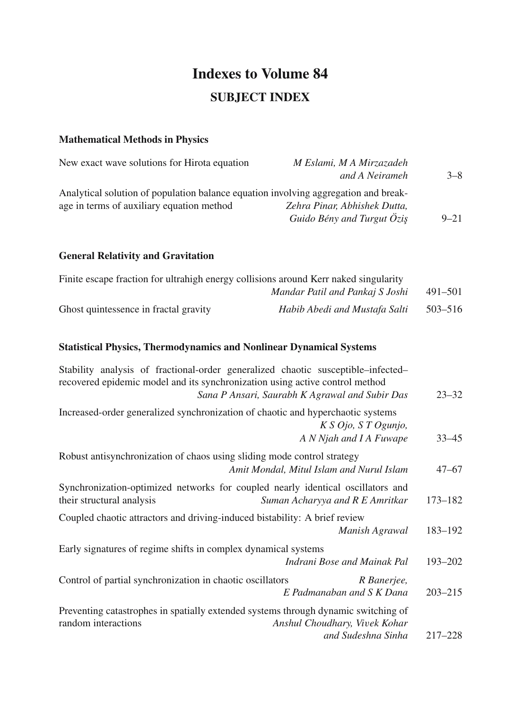# **Indexes to Volume 84 SUBJECT INDEX**

## **Mathematical Methods in Physics**

| New exact wave solutions for Hirota equation                                        | M Eslami, M A Mirzazadeh     |          |
|-------------------------------------------------------------------------------------|------------------------------|----------|
|                                                                                     | and A Neirameh               | $3 - 8$  |
| Analytical solution of population balance equation involving aggregation and break- |                              |          |
| age in terms of auxiliary equation method                                           | Zehra Pinar, Abhishek Dutta, |          |
|                                                                                     | Guido Bény and Turgut Özis   | $9 - 21$ |

### **General Relativity and Gravitation**

| Finite escape fraction for ultrahigh energy collisions around Kerr naked singularity |                                 |         |
|--------------------------------------------------------------------------------------|---------------------------------|---------|
|                                                                                      | Mandar Patil and Pankaj S Joshi | 491-501 |
| Ghost quintessence in fractal gravity                                                | Habib Abedi and Mustafa Salti   | 503-516 |

## **Statistical Physics, Thermodynamics and Nonlinear Dynamical Systems**

| Stability analysis of fractional-order generalized chaotic susceptible–infected–<br>recovered epidemic model and its synchronization using active control method<br>Sana P Ansari, Saurabh K Agrawal and Subir Das | $23 - 32$   |
|--------------------------------------------------------------------------------------------------------------------------------------------------------------------------------------------------------------------|-------------|
| Increased-order generalized synchronization of chaotic and hyperchaotic systems<br>K S Ojo, S T Ogunjo,<br>A N Njah and I A Fuwape                                                                                 | $33 - 45$   |
| Robust antisynchronization of chaos using sliding mode control strategy<br>Amit Mondal, Mitul Islam and Nurul Islam                                                                                                | $47 - 67$   |
| Synchronization-optimized networks for coupled nearly identical oscillators and<br>their structural analysis<br>Suman Acharyya and R E Amritkar                                                                    | $173 - 182$ |
| Coupled chaotic attractors and driving-induced bistability: A brief review<br>Manish Agrawal                                                                                                                       | 183-192     |
| Early signatures of regime shifts in complex dynamical systems                                                                                                                                                     |             |
| Indrani Bose and Mainak Pal                                                                                                                                                                                        | $193 - 202$ |
| Control of partial synchronization in chaotic oscillators<br>R Banerjee,<br>E Padmanaban and S K Dana                                                                                                              | $203 - 215$ |
| Preventing catastrophes in spatially extended systems through dynamic switching of<br>random interactions<br>Anshul Choudhary, Vivek Kohar                                                                         |             |
| and Sudeshna Sinha                                                                                                                                                                                                 | $217 - 228$ |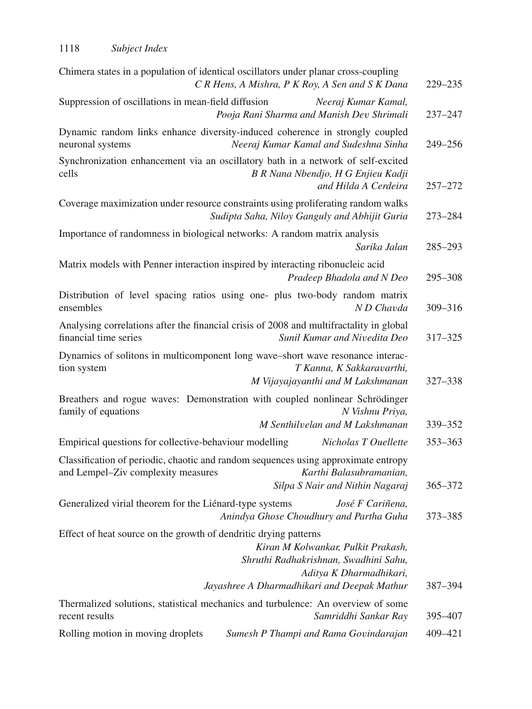| Chimera states in a population of identical oscillators under planar cross-coupling<br>C R Hens, A Mishra, P K Roy, A Sen and S K Dana                                                                                    | 229-235     |
|---------------------------------------------------------------------------------------------------------------------------------------------------------------------------------------------------------------------------|-------------|
| Suppression of oscillations in mean-field diffusion<br>Neeraj Kumar Kamal,<br>Pooja Rani Sharma and Manish Dev Shrimali                                                                                                   | $237 - 247$ |
| Dynamic random links enhance diversity-induced coherence in strongly coupled<br>neuronal systems<br>Neeraj Kumar Kamal and Sudeshna Sinha                                                                                 | 249-256     |
| Synchronization enhancement via an oscillatory bath in a network of self-excited<br>cells<br>B R Nana Nbendjo, H G Enjieu Kadji<br>and Hilda A Cerdeira                                                                   | $257 - 272$ |
| Coverage maximization under resource constraints using proliferating random walks<br>Sudipta Saha, Niloy Ganguly and Abhijit Guria                                                                                        | 273-284     |
| Importance of randomness in biological networks: A random matrix analysis<br>Sarika Jalan                                                                                                                                 | 285-293     |
| Matrix models with Penner interaction inspired by interacting ribonucleic acid<br>Pradeep Bhadola and N Deo                                                                                                               | 295-308     |
| Distribution of level spacing ratios using one- plus two-body random matrix<br>ensembles<br>N D Chavda                                                                                                                    | 309-316     |
| Analysing correlations after the financial crisis of 2008 and multifractality in global<br>Sunil Kumar and Nivedita Deo<br>financial time series                                                                          | 317-325     |
| Dynamics of solitons in multicomponent long wave-short wave resonance interac-<br>tion system<br>T Kanna, K Sakkaravarthi,<br>M Vijayajayanthi and M Lakshmanan                                                           | 327-338     |
| Breathers and rogue waves: Demonstration with coupled nonlinear Schrödinger<br>family of equations<br>N Vishnu Priya,<br>M Senthilvelan and M Lakshmanan                                                                  | 339-352     |
| Empirical questions for collective-behaviour modelling<br>Nicholas T Ouellette                                                                                                                                            | 353-363     |
| Classification of periodic, chaotic and random sequences using approximate entropy<br>and Lempel-Ziv complexity measures<br>Karthi Balasubramanian,<br>Silpa S Nair and Nithin Nagaraj                                    | 365-372     |
| Generalized virial theorem for the Liénard-type systems<br>José F Cariñena,<br>Anindya Ghose Choudhury and Partha Guha                                                                                                    | 373-385     |
| Effect of heat source on the growth of dendritic drying patterns<br>Kiran M Kolwankar, Pulkit Prakash,<br>Shruthi Radhakrishnan, Swadhini Sahu,<br>Aditya K Dharmadhikari,<br>Jayashree A Dharmadhikari and Deepak Mathur | 387-394     |
| Thermalized solutions, statistical mechanics and turbulence: An overview of some<br>recent results<br>Samriddhi Sankar Ray                                                                                                | 395-407     |
| Rolling motion in moving droplets<br>Sumesh P Thampi and Rama Govindarajan                                                                                                                                                | 409-421     |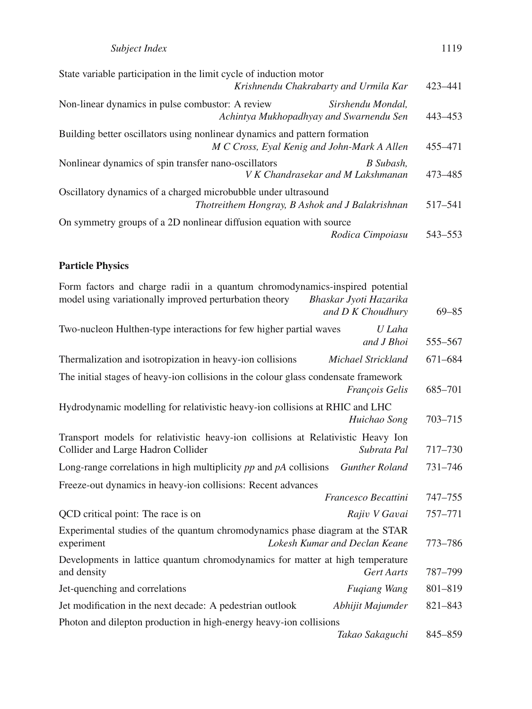| State variable participation in the limit cycle of induction motor<br>Krishnendu Chakrabarty and Urmila Kar               | 423-441   |
|---------------------------------------------------------------------------------------------------------------------------|-----------|
| Non-linear dynamics in pulse combustor: A review<br>Sirshendu Mondal,<br>Achintya Mukhopadhyay and Swarnendu Sen          | 443 - 453 |
| Building better oscillators using nonlinear dynamics and pattern formation<br>M C Cross, Eyal Kenig and John-Mark A Allen | 455-471   |
| Nonlinear dynamics of spin transfer nano-oscillators<br>B Subash.<br>V K Chandrasekar and M Lakshmanan                    | 473-485   |
| Oscillatory dynamics of a charged microbubble under ultrasound<br>Thotreithem Hongray, B Ashok and J Balakrishnan         | 517-541   |
| On symmetry groups of a 2D nonlinear diffusion equation with source<br>Rodica Cimpoiasu                                   | 543-553   |

## **Particle Physics**

| Form factors and charge radii in a quantum chromodynamics-inspired potential<br>model using variationally improved perturbation theory<br>Bhaskar Jyoti Hazarika<br>and D K Choudhury | $69 - 85$ |
|---------------------------------------------------------------------------------------------------------------------------------------------------------------------------------------|-----------|
| Two-nucleon Hulthen-type interactions for few higher partial waves<br>U Laha<br>and J Bhoi                                                                                            | 555-567   |
| Thermalization and isotropization in heavy-ion collisions<br>Michael Strickland                                                                                                       | 671-684   |
| The initial stages of heavy-ion collisions in the colour glass condensate framework<br><b>François Gelis</b>                                                                          | 685-701   |
| Hydrodynamic modelling for relativistic heavy-ion collisions at RHIC and LHC<br>Huichao Song                                                                                          | 703-715   |
| Transport models for relativistic heavy-ion collisions at Relativistic Heavy Ion<br>Collider and Large Hadron Collider<br>Subrata Pal                                                 | 717-730   |
| Long-range correlations in high multiplicity $pp$ and $pA$ collisions<br><b>Gunther Roland</b>                                                                                        | 731-746   |
| Freeze-out dynamics in heavy-ion collisions: Recent advances<br>Francesco Becattini                                                                                                   | 747-755   |
| QCD critical point: The race is on<br>Rajiv V Gavai                                                                                                                                   | 757-771   |
| Experimental studies of the quantum chromodynamics phase diagram at the STAR<br>Lokesh Kumar and Declan Keane<br>experiment                                                           | 773-786   |
| Developments in lattice quantum chromodynamics for matter at high temperature<br>and density<br><b>Gert Aarts</b>                                                                     | 787-799   |
| Jet-quenching and correlations<br><b>Fugiang Wang</b>                                                                                                                                 | 801-819   |
| Abhijit Majumder<br>Jet modification in the next decade: A pedestrian outlook                                                                                                         | 821-843   |
| Photon and dilepton production in high-energy heavy-ion collisions                                                                                                                    |           |
| Takao Sakaguchi                                                                                                                                                                       | 845-859   |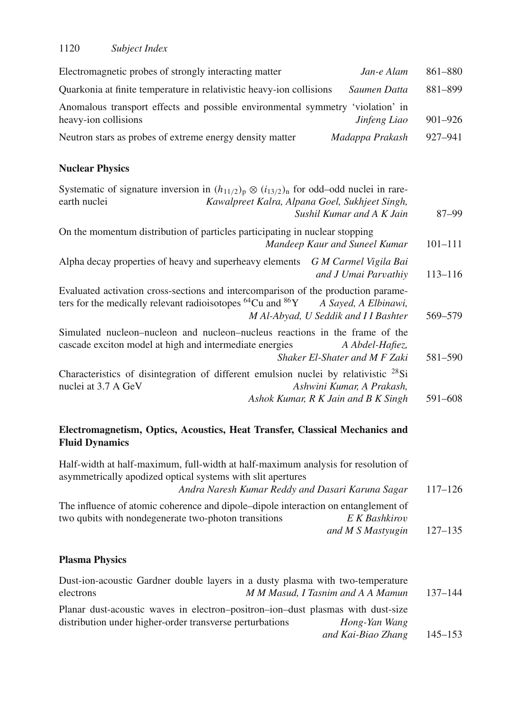| Electromagnetic probes of strongly interacting matter                          | Jan-e Alam      | 861–880 |
|--------------------------------------------------------------------------------|-----------------|---------|
| Quarkonia at finite temperature in relativistic heavy-ion collisions           | Saumen Datta    | 881-899 |
| Anomalous transport effects and possible environmental symmetry 'violation' in |                 |         |
| heavy-ion collisions                                                           | Jinfeng Liao    | 901–926 |
| Neutron stars as probes of extreme energy density matter                       | Madappa Prakash | 927–941 |

### **Nuclear Physics**

| Systematic of signature inversion in $(h_{11/2})$ <sub>p</sub> $\otimes$ $(i_{13/2})$ <sub>n</sub> for odd-odd nuclei in rare-<br>Kawalpreet Kalra, Alpana Goel, Sukhjeet Singh,<br>earth nuclei<br>Sushil Kumar and A K Jain | 87–99       |
|-------------------------------------------------------------------------------------------------------------------------------------------------------------------------------------------------------------------------------|-------------|
| On the momentum distribution of particles participating in nuclear stopping<br>Mandeep Kaur and Suneel Kumar                                                                                                                  | $101 - 111$ |
| Alpha decay properties of heavy and superheavy elements G M Carmel Vigila Bai<br>and J Umai Parvathiv                                                                                                                         | $113 - 116$ |
| Evaluated activation cross-sections and intercomparison of the production parame-<br>ters for the medically relevant radioisotopes ${}^{64}Cu$ and ${}^{86}Y$<br>A Sayed, A Elbinawi,<br>M Al-Abyad, U Seddik and I I Bashter | 569-579     |
| Simulated nucleon-nucleon and nucleon-nucleus reactions in the frame of the<br>cascade exciton model at high and intermediate energies<br>A Abdel-Hafiez,<br>Shaker El-Shater and M F Zaki                                    | 581-590     |
| Characteristics of disintegration of different emulsion nuclei by relativistic <sup>28</sup> Si<br>nuclei at 3.7 A GeV<br>Ashwini Kumar, A Prakash,<br>Ashok Kumar, R K Jain and B K Singh                                    | 591-608     |
| Electromagnetism, Optics, Acoustics, Heat Transfer, Classical Mechanics and<br><b>Fluid Dynamics</b>                                                                                                                          |             |

Half-width at half-maximum, full-width at half-maximum analysis for resolution of asymmetrically apodized optical systems with slit apertures *Andra Naresh Kumar Reddy and Dasari Karuna Sagar* 117–126 The influence of atomic coherence and dipole–dipole interaction on entanglement of two qubits with nondegenerate two-photon transitions  $E K Bashkirov$ two qubits with nondegenerate two-photon transitions

*and M S Mastyugin* 127–135

#### **Plasma Physics**

| Dust-ion-acoustic Gardner double layers in a dusty plasma with two-temperature  |                                   |             |
|---------------------------------------------------------------------------------|-----------------------------------|-------------|
| electrons                                                                       | M M Masud, I Tasnim and A A Mamun | 137–144     |
| Planar dust-acoustic waves in electron-positron-ion-dust plasmas with dust-size |                                   |             |
| distribution under higher-order transverse perturbations                        | Hong-Yan Wang                     |             |
|                                                                                 | and Kai-Biao Zhang                | $145 - 153$ |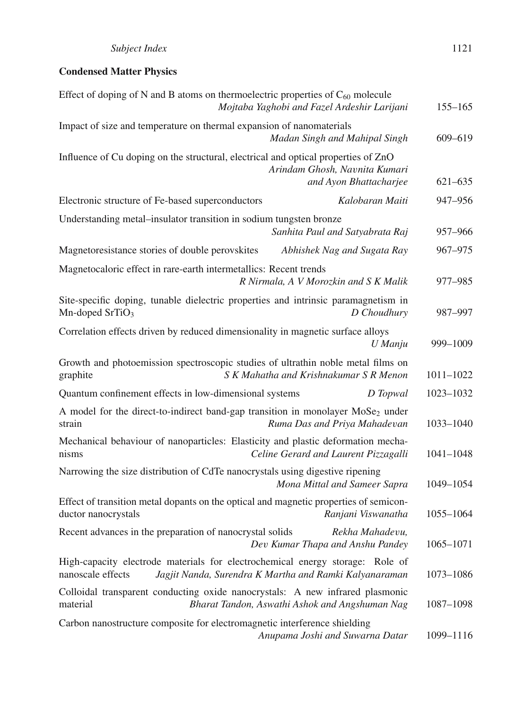## **Condensed Matter Physics**

| Effect of doping of N and B atoms on thermoelectric properties of $C_{60}$ molecule                                  | Mojtaba Yaghobi and Fazel Ardeshir Larijani             | $155 - 165$   |
|----------------------------------------------------------------------------------------------------------------------|---------------------------------------------------------|---------------|
| Impact of size and temperature on thermal expansion of nanomaterials                                                 | Madan Singh and Mahipal Singh                           | 609-619       |
| Influence of Cu doping on the structural, electrical and optical properties of ZnO                                   | Arindam Ghosh, Navnita Kumari<br>and Ayon Bhattacharjee | $621 - 635$   |
| Electronic structure of Fe-based superconductors                                                                     | Kalobaran Maiti                                         | 947-956       |
| Understanding metal-insulator transition in sodium tungsten bronze                                                   | Sanhita Paul and Satyabrata Raj                         | 957-966       |
| Magnetoresistance stories of double perovskites                                                                      | Abhishek Nag and Sugata Ray                             | 967-975       |
| Magnetocaloric effect in rare-earth intermetallics: Recent trends                                                    | R Nirmala, A V Morozkin and S K Malik                   | 977-985       |
| Site-specific doping, tunable dielectric properties and intrinsic paramagnetism in<br>$Mn$ -doped SrTiO <sub>3</sub> | D Choudhury                                             | 987-997       |
| Correlation effects driven by reduced dimensionality in magnetic surface alloys                                      | U Manju                                                 | 999-1009      |
| Growth and photoemission spectroscopic studies of ultrathin noble metal films on<br>graphite                         | S K Mahatha and Krishnakumar S R Menon                  | $1011 - 1022$ |
| Quantum confinement effects in low-dimensional systems                                                               | D Topwal                                                | 1023-1032     |
| A model for the direct-to-indirect band-gap transition in monolayer MoSe <sub>2</sub> under<br>strain                | Ruma Das and Priya Mahadevan                            | 1033-1040     |
| Mechanical behaviour of nanoparticles: Elasticity and plastic deformation mecha-<br>nisms                            | Celine Gerard and Laurent Pizzagalli                    | 1041-1048     |
| Narrowing the size distribution of CdTe nanocrystals using digestive ripening                                        | Mona Mittal and Sameer Sapra                            | 1049-1054     |
| Effect of transition metal dopants on the optical and magnetic properties of semicon-<br>ductor nanocrystals         | Ranjani Viswanatha                                      | 1055-1064     |
| Recent advances in the preparation of nanocrystal solids                                                             | Rekha Mahadevu,<br>Dev Kumar Thapa and Anshu Pandey     | 1065-1071     |
| High-capacity electrode materials for electrochemical energy storage: Role of<br>nanoscale effects                   | Jagjit Nanda, Surendra K Martha and Ramki Kalyanaraman  | 1073-1086     |
| Colloidal transparent conducting oxide nanocrystals: A new infrared plasmonic<br>material                            | Bharat Tandon, Aswathi Ashok and Angshuman Nag          | 1087-1098     |
| Carbon nanostructure composite for electromagnetic interference shielding                                            | Anupama Joshi and Suwarna Datar                         | 1099-1116     |